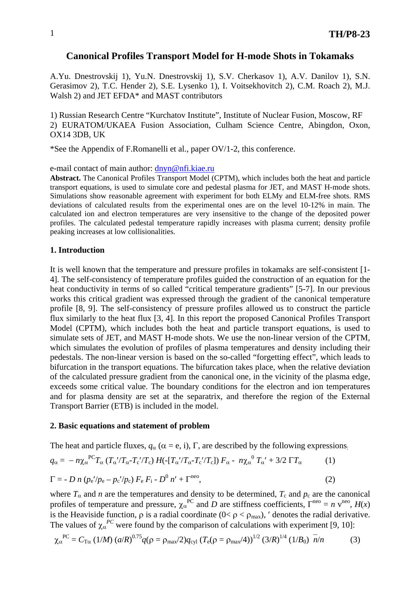### **Canonical Profiles Transport Model for H-mode Shots in Tokamaks**

A.Yu. Dnestrovskij 1), Yu.N. Dnestrovskij 1), S.V. Cherkasov 1), A.V. Danilov 1), S.N. Gerasimov 2), T.C. Hender 2), S.E. Lysenko 1), I. Voitsekhovitch 2), C.M. Roach 2), M.J. Walsh 2) and JET EFDA\* and MAST contributors

1) Russian Research Centre "Kurchatov Institute", Institute of Nuclear Fusion, Moscow, RF 2) EURATOM/UKAEA Fusion Association, Culham Science Centre, Abingdon, Oxon, OX14 3DB, UK

\*See the Appendix of F.Romanelli et al., paper OV/1-2, this conference.

e-mail contact of main author: [dnyn@nfi.kiae.ru](mailto:dnyn@nfi.kiae.ru)

**Abstract.** The Canonical Profiles Transport Model (CPTM), which includes both the heat and particle transport equations, is used to simulate core and pedestal plasma for JET, and MAST H-mode shots. Simulations show reasonable agreement with experiment for both ELMy and ELM-free shots. RMS deviations of calculated results from the experimental ones are on the level 10-12% in main. The calculated ion and electron temperatures are very insensitive to the change of the deposited power profiles. The calculated pedestal temperature rapidly increases with plasma current; density profile peaking increases at low collisionalities.

#### **1. Introduction**

It is well known that the temperature and pressure profiles in tokamaks are self-consistent [1- 4]. The self-consistency of temperature profiles guided the construction of an equation for the heat conductivity in terms of so called "critical temperature gradients" [5-7]. In our previous works this critical gradient was expressed through the gradient of the canonical temperature profile [8, 9]. The self-consistency of pressure profiles allowed us to construct the particle flux similarly to the heat flux [3, 4]. In this report the proposed Canonical Profiles Transport Model (CPTM), which includes both the heat and particle transport equations, is used to simulate sets of JET, and MAST H-mode shots. We use the non-linear version of the CPTM, which simulates the evolution of profiles of plasma temperatures and density including their pedestals. The non-linear version is based on the so-called "forgetting effect", which leads to bifurcation in the transport equations. The bifurcation takes place, when the relative deviation of the calculated pressure gradient from the canonical one, in the vicinity of the plasma edge, exceeds some critical value. The boundary conditions for the electron and ion temperatures and for plasma density are set at the separatrix, and therefore the region of the External Transport Barrier (ETB) is included in the model.

#### **2. Basic equations and statement of problem**

The heat and particle fluxes,  $q_\alpha$  ( $\alpha = e$ , i),  $\Gamma$ , are described by the following expressions.

$$
q_{\alpha} = -n\chi_{\alpha}^{\text{PC}}T_{\alpha} (T_{\alpha}^{\prime}/T_{\alpha} - T_{c}^{\prime}/T_{c}) H(-[T_{\alpha}^{\prime}/T_{\alpha} - T_{c}^{\prime}/T_{c}]) F_{\alpha} - n\chi_{\alpha}^{\text{O}} T_{\alpha}^{\prime} + 3/2 \Gamma T_{\alpha}
$$
(1)  
\n
$$
\Gamma = -D n (p_{e}^{\prime}/p_{e} - p_{c}^{\prime}/p_{c}) F_{e} F_{i} - D^{\text{O}} n^{\prime} + \Gamma^{\text{neo}},
$$
(2)

where  $T_\alpha$  and *n* are the temperatures and density to be determined,  $T_c$  and  $p_c$  are the canonical profiles of temperature and pressure,  $\chi_{\alpha}^{PC}$  and *D* are stiffness coefficients,  $\Gamma^{neo} = n v^{neo}$ ,  $H(x)$ is the Heaviside function,  $\rho$  is a radial coordinate ( $0 < \rho < \rho_{\text{max}}$ ), ' denotes the radial derivative. The values of  $\chi_{\alpha}^{PC}$  were found by the comparison of calculations with experiment [9, 10]:

$$
\chi_{\alpha}^{\text{PC}} = C_{\text{T}\alpha} (1/M) (a/R)^{0.75} q(\rho = \rho_{\text{max}}/2) q_{\text{cyl}} (T_{\text{e}}(\rho = \rho_{\text{max}}/4))^{1/2} (3/R)^{1/4} (1/B_0) \overline{n}/n
$$
 (3)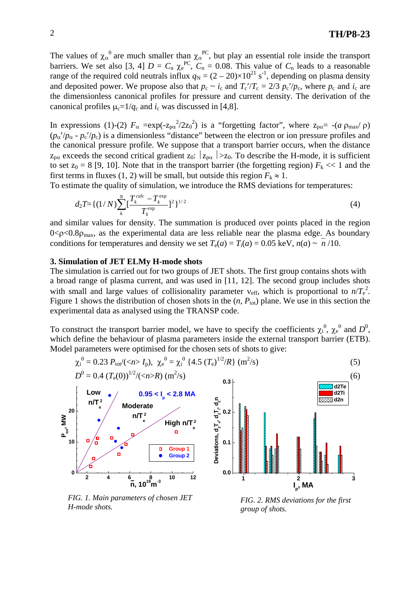The values of  $\chi_{\alpha}^0$  are much smaller than  $\chi_{\alpha}^{\text{PC}}$ , but play an essential role inside the transport barriers. We set also [3, 4]  $D = C_n \chi_e^{PC}$ ,  $C_n = 0.08$ . This value of  $C_n$  leads to a reasonable range of the required cold neutrals influx  $q_N = (2 - 20) \times 10^{21}$  s<sup>-1</sup>, depending on plasma density and deposited power. We propose also that  $p_c \sim i_c$  and  $T_c'/T_c = 2/3 p_c'/p_c$ , where  $p_c$  and  $i_c$  are the dimensionless canonical profiles for pressure and current density. The derivation of the canonical profiles  $\mu_c=1/q_c$  and  $i_c$  was discussed in [4,8].

In expressions (1)-(2)  $F_{\alpha} = \exp(-z_{\text{pa}}^2/2z_0^2)$  is a "forgetting factor", where  $z_{\text{pa}} = -(a \rho_{\text{max}}/\rho)$  $(p_\alpha/p_\alpha - p_c/p_c)$  is a dimensionless "distance" between the electron or ion pressure profiles and the canonical pressure profile. We suppose that a transport barrier occurs, when the distance  $z_{p\alpha}$  exceeds the second critical gradient  $z_0$ :  $|z_{p\alpha}| > z_0$ . To describe the H-mode, it is sufficient to set  $z_0 = 8$  [9, 10]. Note that in the transport barrier (the forgetting region)  $F_k \ll 1$  and the first terms in fluxes (1, 2) will be small, but outside this region  $F_k \approx 1$ .

To estimate the quality of simulation, we introduce the RMS deviations for temperatures:

$$
d_2T = \left\{ (1/N) \sum_{k=1}^{N} \left[ \frac{T_k^{calc} - T_k^{exp}}{T_k^{exp}} \right]^2 \right\}^{1/2}
$$
 (4)

and similar values for density. The summation is produced over points placed in the region  $0 < \rho < 0.8\rho_{\text{max}}$ , as the experimental data are less reliable near the plasma edge. As boundary conditions for temperatures and density we set  $T_e(a) = T_i(a) = 0.05$  keV,  $n(a) \sim n/10$ .

#### **3. Simulation of JET ELMy H-mode shots**

The simulation is carried out for two groups of JET shots. The first group contains shots with a broad range of plasma current, and was used in [11, 12]. The second group includes shots with small and large values of collisionality parameter  $v_{\text{eff}}$ , which is proportional to  $n/T_e^2$ . Figure 1 shows the distribution of chosen shots in the  $(n, P_{tot})$  plane. We use in this section the experimental data as analysed using the TRANSP code.

To construct the transport barrier model, we have to specify the coefficients  $\chi_i^0$ ,  $\chi_e^0$  and  $D^0$ , which define the behaviour of plasma parameters inside the external transport barrier (ETB). Model parameters were optimised for the chosen sets of shots to give:

$$
\chi_{i}^{0} = 0.23 \ P_{\text{tot}}/(I_{\text{p}}), \ \chi_{e}^{0} = \chi_{i}^{0} \ \{4.5 \ (T_{\text{e}})^{1/2}/R\} \ (m^{2}/s)
$$



*FIG. 1. Main parameters of chosen JET H-mode shots.* 

*FIG. 2. RMS deviations for the first group of shots.*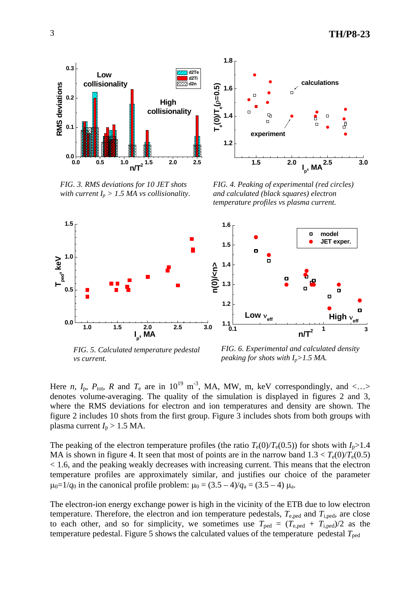



*FIG. 3. RMS deviations for 10 JET shots with current*  $I_p > 1.5$  *MA vs collisionality.* 

*FIG. 4. Peaking of experimental (red circles) and calculated (black squares) electron temperature profiles vs plasma current.*



*FIG. 5. Calculated temperature pedestal vs current.* 

*FIG. 6. Experimental and calculated density peaking for shots with Ip>1.5 MA.*

Here *n*,  $I_p$ ,  $P_{\text{tot}}$ , *R* and  $T_e$  are in 10<sup>19</sup> m<sup>-3</sup>, MA, MW, m, keV correspondingly, and <...> denotes volume-averaging. The quality of the simulation is displayed in figures 2 and 3, where the RMS deviations for electron and ion temperatures and density are shown. The figure 2 includes 10 shots from the first group. Figure 3 includes shots from both groups with plasma current  $I_p > 1.5$  MA.

The peaking of the electron temperature profiles (the ratio  $T_e(0)/T_e(0.5)$ ) for shots with  $I_p > 1.4$ MA is shown in figure 4. It seen that most of points are in the narrow band  $1.3 < T_e(0)/T_e(0.5)$ < 1.6, and the peaking weakly decreases with increasing current. This means that the electron temperature profiles are approximately similar, and justifies our choice of the parameter  $\mu_0=1/q_0$  in the canonical profile problem:  $\mu_0 = (3.5 - 4)/q_a = (3.5 - 4) \mu_a$ .

The electron-ion energy exchange power is high in the vicinity of the ETB due to low electron temperature. Therefore, the electron and ion temperature pedestals,  $T_{e, \text{ped}}$  and  $T_{i, \text{ped}}$ , are close to each other, and so for simplicity, we sometimes use  $T_{\text{ped}} = (T_{\text{e,ped}} + T_{\text{i,ped}})/2$  as the temperature pedestal. Figure 5 shows the calculated values of the temperature pedestal  $T_{\text{ped}}$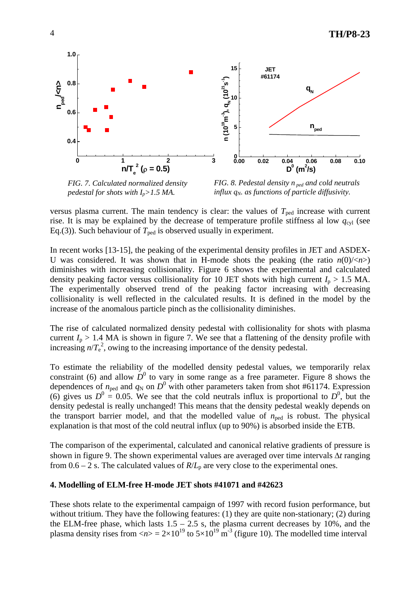

*FIG. 7. Calculated normalized density pedestal for shots with Ip>1.5 MA.*

*FIG. 8. Pedestal density n ped and cold neutrals influx q<sub>N</sub>. as functions of particle diffusivity.* 

versus plasma current. The main tendency is clear: the values of  $T_{\text{ped}}$  increase with current rise. It is may be explained by the decrease of temperature profile stiffness al low  $q_{\text{cyl}}$  (see Eq.(3)). Such behaviour of  $T_{\text{ped}}$  is observed usually in experiment.

In recent works [13-15], the peaking of the experimental density profiles in JET and ASDEX-U was considered. It was shown that in H-mode shots the peaking (the ratio  $n(0)/\langle n\rangle$ ) diminishes with increasing collisionality. Figure 6 shows the experimental and calculated density peaking factor versus collisionality for 10 JET shots with high current  $I_p > 1.5$  MA. The experimentally observed trend of the peaking factor increasing with decreasing collisionality is well reflected in the calculated results. It is defined in the model by the increase of the anomalous particle pinch as the collisionality diminishes.

The rise of calculated normalized density pedestal with collisionality for shots with plasma current  $I_p > 1.4$  MA is shown in figure 7. We see that a flattening of the density profile with increasing  $n/T_e^2$ , owing to the increasing importance of the density pedestal.

To estimate the reliability of the modelled density pedestal values, we temporarily relax constraint (6) and allow  $\overline{D}^0$  to vary in some range as a free parameter. Figure 8 shows the dependences of  $n_{\text{ped}}$  and  $q_N$  on  $D^0$  with other parameters taken from shot #61174. Expression (6) gives us  $D^0 = 0.05$ . We see that the cold neutrals influx is proportional to  $D^0$ , but the density pedestal is really unchanged! This means that the density pedestal weakly depends on the transport barrier model, and that the modelled value of  $n_{\text{ped}}$  is robust. The physical explanation is that most of the cold neutral influx (up to 90%) is absorbed inside the ETB.

The comparison of the experimental, calculated and canonical relative gradients of pressure is shown in figure 9. The shown experimental values are averaged over time intervals ∆*t* ranging from  $0.6 - 2$  s. The calculated values of  $R/L<sub>p</sub>$  are very close to the experimental ones.

## **4. Modelling of ELM-free H-mode JET shots #41071 and #42623**

These shots relate to the experimental campaign of 1997 with record fusion performance, but without tritium. They have the following features: (1) they are quite non-stationary; (2) during the ELM-free phase, which lasts  $1.5 - 2.5$  s, the plasma current decreases by 10%, and the plasma density rises from  $\langle n \rangle = 2 \times 10^{19}$  to  $5 \times 10^{19}$  m<sup>-3</sup> (figure 10). The modelled time interval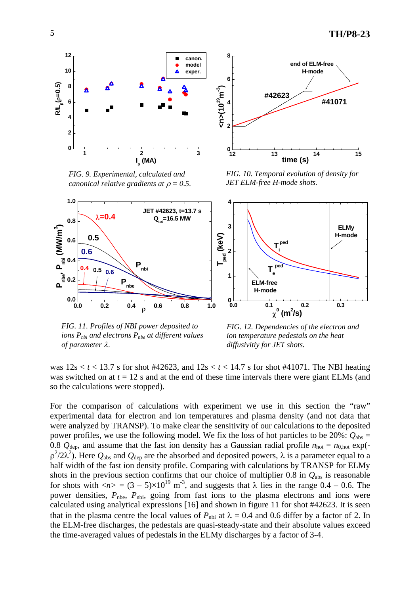

*FIG. 9. Experimental, calculated and canonical relative gradients at*  $\rho = 0.5$ .



*FIG. 10. Temporal evolution of density for JET ELM-free H-mode shots.* 



*FIG. 11. Profiles of NBI power deposited to ions Pnbi and electrons Pnbe at different values of parameter* λ.

*FIG. 12. Dependencies of the electron and ion temperature pedestals on the heat diffusivitiy for JET shots.*

was  $12s < t < 13.7$  s for shot #42623, and  $12s < t < 14.7$  s for shot #41071. The NBI heating was switched on at  $t = 12$  s and at the end of these time intervals there were giant ELMs (and so the calculations were stopped).

For the comparison of calculations with experiment we use in this section the "raw" experimental data for electron and ion temperatures and plasma density (and not data that were analyzed by TRANSP). To make clear the sensitivity of our calculations to the deposited power profiles, we use the following model. We fix the loss of hot particles to be 20%:  $Q_{\text{abs}} =$ 0.8  $Q_{\text{dep}}$ , and assume that the fast ion density has a Gaussian radial profile  $n_{\text{hot}} = n_{0,\text{hot}}$  exp( $ρ<sup>2</sup>/2λ<sup>2</sup>)$ . Here  $Q<sub>abs</sub>$  and  $Q<sub>dep</sub>$  are the absorbed and deposited powers, λ is a parameter equal to a half width of the fast ion density profile. Comparing with calculations by TRANSP for ELMy shots in the previous section confirms that our choice of multiplier 0.8 in  $Q_{\text{abs}}$  is reasonable for shots with  $\langle n \rangle = (3-5) \times 10^{19}$  m<sup>-3</sup>, and suggests that  $\lambda$  lies in the range 0.4 – 0.6. The power densities,  $P_{\text{nb}}$ ,  $P_{\text{nb}}$ , going from fast ions to the plasma electrons and ions were calculated using analytical expressions [16] and shown in figure 11 for shot #42623. It is seen that in the plasma centre the local values of  $P_{\text{nbi}}$  at  $\lambda = 0.4$  and 0.6 differ by a factor of 2. In the ELM-free discharges, the pedestals are quasi-steady-state and their absolute values exceed the time-averaged values of pedestals in the ELMy discharges by a factor of 3-4.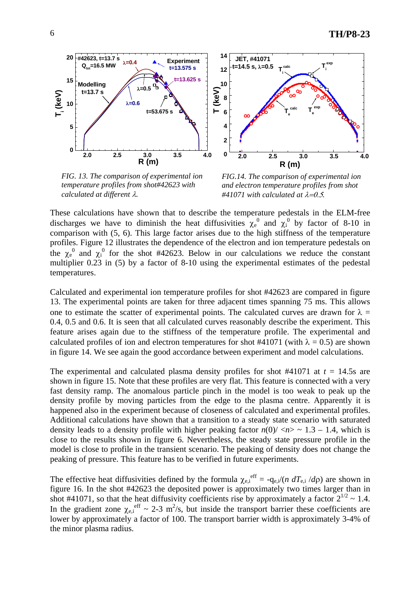

*FIG. 13. The comparison of experimental ion temperature profiles from shot#42623 with calculated at different* λ*.*



**R (m)**

**Te calc**

**Ti calc**

**2.0 2.5 3.0 3.5 4.0 0**

**Te exp** **Ti exp**

These calculations have shown that to describe the temperature pedestals in the ELM-free discharges we have to diminish the heat diffusivities  $\chi_e^0$  and  $\chi_i^0$  by factor of 8-10 in comparison with (5, 6). This large factor arises due to the high stiffness of the temperature profiles. Figure 12 illustrates the dependence of the electron and ion temperature pedestals on the  $\chi_e^0$  and  $\chi_i^0$  for the shot #42623. Below in our calculations we reduce the constant multiplier 0.23 in (5) by a factor of 8-10 using the experimental estimates of the pedestal temperatures.

**2 4**

**6 8 10**

**12**

**<sup>14</sup> JET, #41071 t=14.5 s,** λ**=0.5**

Calculated and experimental ion temperature profiles for shot #42623 are compared in figure 13. The experimental points are taken for three adjacent times spanning 75 ms. This allows one to estimate the scatter of experimental points. The calculated curves are drawn for  $\lambda =$ 0.4, 0.5 and 0.6. It is seen that all calculated curves reasonably describe the experiment. This feature arises again due to the stiffness of the temperature profile. The experimental and calculated profiles of ion and electron temperatures for shot #41071 (with  $\lambda = 0.5$ ) are shown in figure 14. We see again the good accordance between experiment and model calculations.

The experimental and calculated plasma density profiles for shot  $#41071$  at  $t = 14.5s$  are shown in figure 15. Note that these profiles are very flat. This feature is connected with a very fast density ramp. The anomalous particle pinch in the model is too weak to peak up the density profile by moving particles from the edge to the plasma centre. Apparently it is happened also in the experiment because of closeness of calculated and experimental profiles. Additional calculations have shown that a transition to a steady state scenario with saturated density leads to a density profile with higher peaking factor  $n(0)/\langle n \rangle \sim 1.3 - 1.4$ , which is close to the results shown in figure 6. Nevertheless, the steady state pressure profile in the model is close to profile in the transient scenario. The peaking of density does not change the peaking of pressure. This feature has to be verified in future experiments.

The effective heat diffusivities defined by the formula  $\chi_{e,i}^{eff} = -q_{e,i}/(n \frac{dT_{e,i}}{d\rho})$  are shown in figure 16. In the shot #42623 the deposited power is approximately two times larger than in shot #41071, so that the heat diffusivity coefficients rise by approximately a factor  $2^{1/2} \sim 1.4$ . In the gradient zone  $\chi_{e,i}^{\text{eff}} \sim 2-3 \text{ m}^2/\text{s}$ , but inside the transport barrier these coefficients are lower by approximately a factor of 100. The transport barrier width is approximately 3-4% of the minor plasma radius.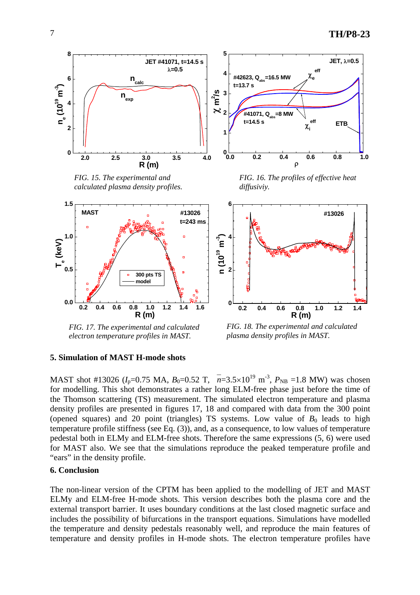

*FIG. 17. The experimental and calculated electron temperature profiles in MAST.*

*FIG. 18. The experimental and calculated plasma density profiles in MAST.*

### **5. Simulation of MAST H-mode shots**

MAST shot #13026 ( $I_p$ =0.75 MA,  $B_0$ =0.52 T,  $n=3.5\times10^{19}$  m<sup>-3</sup>,  $P_{NB}$  =1.8 MW) was chosen for modelling. This shot demonstrates a rather long ELM-free phase just before the time of the Thomson scattering (TS) measurement. The simulated electron temperature and plasma density profiles are presented in figures 17, 18 and compared with data from the 300 point (opened squares) and 20 point (triangles) TS systems. Low value of  $B_0$  leads to high temperature profile stiffness (see Eq. (3)), and, as a consequence, to low values of temperature pedestal both in ELMy and ELM-free shots. Therefore the same expressions (5, 6) were used for MAST also. We see that the simulations reproduce the peaked temperature profile and "ears" in the density profile.

### **6. Conclusion**

The non-linear version of the CPTM has been applied to the modelling of JET and MAST ELMy and ELM-free H-mode shots. This version describes both the plasma core and the external transport barrier. It uses boundary conditions at the last closed magnetic surface and includes the possibility of bifurcations in the transport equations. Simulations have modelled the temperature and density pedestals reasonably well, and reproduce the main features of temperature and density profiles in H-mode shots. The electron temperature profiles have